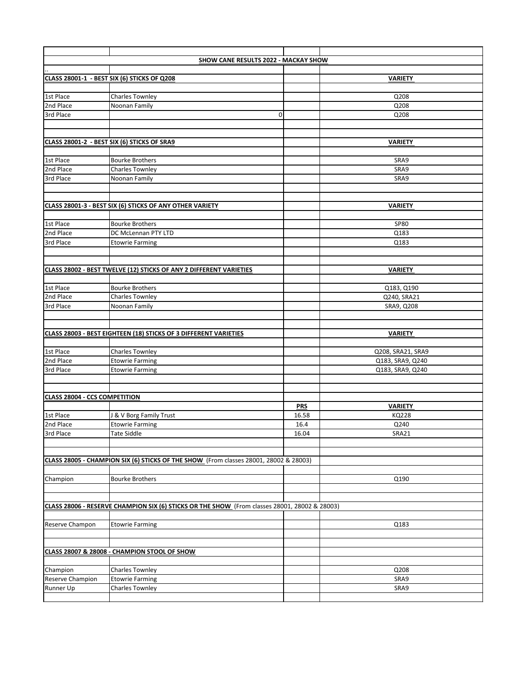|                                      | <b>SHOW CANE RESULTS 2022 - MACKAY SHOW</b>                                                   |             |                   |
|--------------------------------------|-----------------------------------------------------------------------------------------------|-------------|-------------------|
|                                      |                                                                                               |             |                   |
|                                      | CLASS 28001-1 - BEST SIX (6) STICKS OF Q208                                                   |             | <b>VARIETY</b>    |
|                                      |                                                                                               |             |                   |
| 1st Place                            | <b>Charles Townley</b>                                                                        |             | Q208              |
| 2nd Place                            | Noonan Family                                                                                 |             | Q208              |
| 3rd Place                            |                                                                                               | $\mathbf 0$ | Q208              |
|                                      |                                                                                               |             |                   |
|                                      |                                                                                               |             |                   |
|                                      | CLASS 28001-2 - BEST SIX (6) STICKS OF SRA9                                                   |             | <b>VARIETY</b>    |
|                                      |                                                                                               |             |                   |
| 1st Place                            | <b>Bourke Brothers</b>                                                                        |             | SRA9              |
| 2nd Place                            | <b>Charles Townley</b>                                                                        |             | SRA9              |
| 3rd Place                            | Noonan Family                                                                                 |             | SRA9              |
|                                      |                                                                                               |             |                   |
|                                      |                                                                                               |             |                   |
|                                      | CLASS 28001-3 - BEST SIX (6) STICKS OF ANY OTHER VARIETY                                      |             | <b>VARIETY</b>    |
|                                      |                                                                                               |             |                   |
| 1st Place                            | <b>Bourke Brothers</b>                                                                        |             | <b>SP80</b>       |
| 2nd Place                            | DC McLennan PTY LTD                                                                           |             | Q183              |
| 3rd Place                            |                                                                                               |             | Q183              |
|                                      | <b>Etowrie Farming</b>                                                                        |             |                   |
|                                      |                                                                                               |             |                   |
|                                      |                                                                                               |             |                   |
|                                      | CLASS 28002 - BEST TWELVE (12) STICKS OF ANY 2 DIFFERENT VARIETIES                            |             | <b>VARIETY</b>    |
|                                      |                                                                                               |             |                   |
| 1st Place<br>2nd Place               | <b>Bourke Brothers</b>                                                                        |             | Q183, Q190        |
|                                      | <b>Charles Townley</b>                                                                        |             | Q240, SRA21       |
| 3rd Place                            | Noonan Family                                                                                 |             | SRA9, Q208        |
|                                      |                                                                                               |             |                   |
|                                      |                                                                                               |             |                   |
|                                      | <b>CLASS 28003 - BEST EIGHTEEN (18) STICKS OF 3 DIFFERENT VARIETIES</b>                       |             | <b>VARIETY</b>    |
|                                      |                                                                                               |             |                   |
| 1st Place                            | <b>Charles Townley</b>                                                                        |             | Q208, SRA21, SRA9 |
| 2nd Place                            | <b>Etowrie Farming</b>                                                                        |             | Q183, SRA9, Q240  |
| 3rd Place                            | <b>Etowrie Farming</b>                                                                        |             | Q183, SRA9, Q240  |
|                                      |                                                                                               |             |                   |
|                                      |                                                                                               |             |                   |
| <b>CLASS 28004 - CCS COMPETITION</b> |                                                                                               |             |                   |
|                                      |                                                                                               | <b>PRS</b>  | <b>VARIETY</b>    |
| 1st Place                            | J & V Borg Family Trust                                                                       | 16.58       | <b>KQ228</b>      |
| 2nd Place                            | <b>Etowrie Farming</b>                                                                        | 16.4        | Q240              |
| 3rd Place                            | Tate Siddle                                                                                   | 16.04       | SRA21             |
|                                      |                                                                                               |             |                   |
|                                      |                                                                                               |             |                   |
|                                      | CLASS 28005 - CHAMPION SIX (6) STICKS OF THE SHOW (From classes 28001, 28002 & 28003)         |             |                   |
|                                      |                                                                                               |             |                   |
| Champion                             | <b>Bourke Brothers</b>                                                                        |             | Q190              |
|                                      |                                                                                               |             |                   |
|                                      |                                                                                               |             |                   |
|                                      | CLASS 28006 - RESERVE CHAMPION SIX (6) STICKS OR THE SHOW (From classes 28001, 28002 & 28003) |             |                   |
|                                      |                                                                                               |             |                   |
| Reserve Champon                      | <b>Etowrie Farming</b>                                                                        |             | Q183              |
|                                      |                                                                                               |             |                   |
|                                      |                                                                                               |             |                   |
|                                      | CLASS 28007 & 28008 - CHAMPION STOOL OF SHOW                                                  |             |                   |
|                                      |                                                                                               |             |                   |
| Champion                             | <b>Charles Townley</b>                                                                        |             | Q208              |
| Reserve Champion                     | <b>Etowrie Farming</b>                                                                        |             | SRA9              |
| <b>Runner Up</b>                     | <b>Charles Townley</b>                                                                        |             | SRA9              |
|                                      |                                                                                               |             |                   |